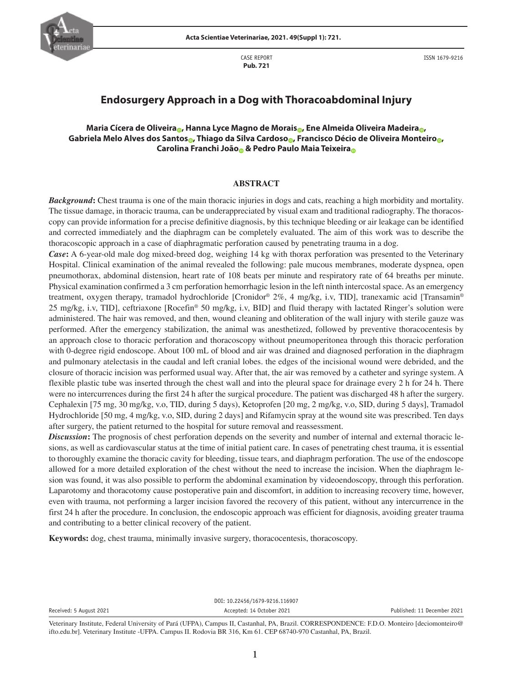

CASE REPORT **Pub. 721**



ISSN 1679-9216

# **Endosurgery Approach in a Dog with Thoracoabdominal Injury**

## **Maria Cícera de Oliveir[a](https://orcid.org/0000-0001-6436-9964) , Hanna Lyce Magno de Morai[s](https://orcid.org/0000-0002-9657-7749) , Ene Almeida Oliveira Madeir[a](https://orcid.org/0000-0002-4115-6496) , Gabriela Melo Alves dos Santo[s](https://orcid.org/0000-0002-6769-7880) , Thiago da Silva Cardos[o](https://orcid.org/0000-0003-4563-574X) , Francisco Décio de Oliveira Monteir[o](https://orcid.org/0000-0003-3598-5826) , Carolina Franchi Joã[o](https://orcid.org/0000-0002-3588-6070) & Pedro Paulo Maia Teixeir[a](https://orcid.org/0000-0001-8828-8675)**

#### **ABSTRACT**

*Background***:** Chest trauma is one of the main thoracic injuries in dogs and cats, reaching a high morbidity and mortality. The tissue damage, in thoracic trauma, can be underappreciated by visual exam and traditional radiography. The thoracoscopy can provide information for a precise definitive diagnosis, by this technique bleeding or air leakage can be identified and corrected immediately and the diaphragm can be completely evaluated. The aim of this work was to describe the thoracoscopic approach in a case of diaphragmatic perforation caused by penetrating trauma in a dog.

*Case***:** A 6-year-old male dog mixed-breed dog, weighing 14 kg with thorax perforation was presented to the Veterinary Hospital. Clinical examination of the animal revealed the following: pale mucous membranes, moderate dyspnea, open pneumothorax, abdominal distension, heart rate of 108 beats per minute and respiratory rate of 64 breaths per minute. Physical examination confirmed a 3 cm perforation hemorrhagic lesion in the left ninth intercostal space. As an emergency treatment, oxygen therapy, tramadol hydrochloride [Cronidor® 2%, 4 mg/kg, i.v, TID], tranexamic acid [Transamin® 25 mg/kg, i.v, TID], ceftriaxone [Rocefin® 50 mg/kg, i.v, BID] and fluid therapy with lactated Ringer's solution were administered. The hair was removed, and then, wound cleaning and obliteration of the wall injury with sterile gauze was performed. After the emergency stabilization, the animal was anesthetized, followed by preventive thoracocentesis by an approach close to thoracic perforation and thoracoscopy without pneumoperitonea through this thoracic perforation with 0-degree rigid endoscope. About 100 mL of blood and air was drained and diagnosed perforation in the diaphragm and pulmonary atelectasis in the caudal and left cranial lobes. the edges of the incisional wound were debrided, and the closure of thoracic incision was performed usual way. After that, the air was removed by a catheter and syringe system. A flexible plastic tube was inserted through the chest wall and into the pleural space for drainage every 2 h for 24 h. There were no intercurrences during the first 24 h after the surgical procedure. The patient was discharged 48 h after the surgery. Cephalexin [75 mg, 30 mg/kg, v.o, TID, during 5 days), Ketoprofen [20 mg, 2 mg/kg, v.o, SID, during 5 days], Tramadol Hydrochloride [50 mg, 4 mg/kg, v.o, SID, during 2 days] and Rifamycin spray at the wound site was prescribed. Ten days after surgery, the patient returned to the hospital for suture removal and reassessment.

*Discussion***:** The prognosis of chest perforation depends on the severity and number of internal and external thoracic lesions, as well as cardiovascular status at the time of initial patient care. In cases of penetrating chest trauma, it is essential to thoroughly examine the thoracic cavity for bleeding, tissue tears, and diaphragm perforation. The use of the endoscope allowed for a more detailed exploration of the chest without the need to increase the incision. When the diaphragm lesion was found, it was also possible to perform the abdominal examination by videoendoscopy, through this perforation. Laparotomy and thoracotomy cause postoperative pain and discomfort, in addition to increasing recovery time, however, even with trauma, not performing a larger incision favored the recovery of this patient, without any intercurrence in the first 24 h after the procedure. In conclusion, the endoscopic approach was efficient for diagnosis, avoiding greater trauma and contributing to a better clinical recovery of the patient.

**Keywords:** dog, chest trauma, minimally invasive surgery, thoracocentesis, thoracoscopy.

DOI: 10.22456/1679-9216.116907

Veterinary Institute, Federal University of Pará (UFPA), Campus II, Castanhal, PA, Brazil. CORRESPONDENCE: F.D.O. Monteiro [deciomonteiro@ ifto.edu.br]. Veterinary Institute -UFPA. Campus II. Rodovia BR 316, Km 61. CEP 68740-970 Castanhal, PA, Brazil.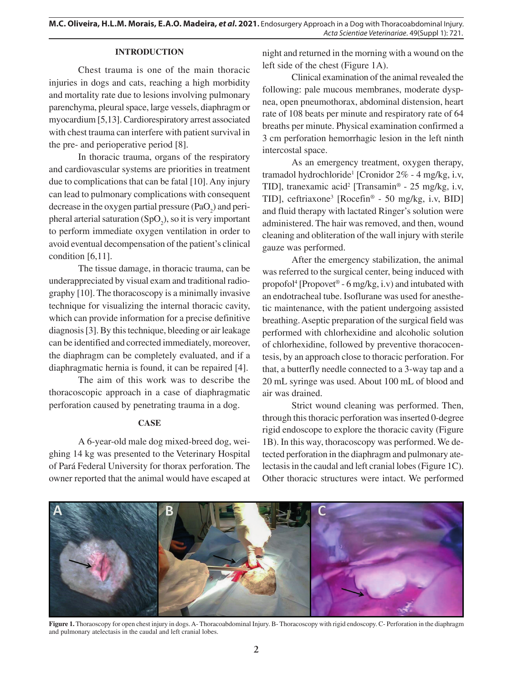## **INTRODUCTION**

Chest trauma is one of the main thoracic injuries in dogs and cats, reaching a high morbidity and mortality rate due to lesions involving pulmonary parenchyma, pleural space, large vessels, diaphragm or myocardium [5,13]. Cardiorespiratory arrest associated with chest trauma can interfere with patient survival in the pre- and perioperative period [8].

In thoracic trauma, organs of the respiratory and cardiovascular systems are priorities in treatment due to complications that can be fatal [10]. Any injury can lead to pulmonary complications with consequent decrease in the oxygen partial pressure  $(PaO<sub>2</sub>)$  and peripheral arterial saturation  $(SpO<sub>2</sub>)$ , so it is very important to perform immediate oxygen ventilation in order to avoid eventual decompensation of the patient's clinical condition [6,11].

The tissue damage, in thoracic trauma, can be underappreciated by visual exam and traditional radiography [10]. The thoracoscopy is a minimally invasive technique for visualizing the internal thoracic cavity, which can provide information for a precise definitive diagnosis [3]. By this technique, bleeding or air leakage can be identified and corrected immediately, moreover, the diaphragm can be completely evaluated, and if a diaphragmatic hernia is found, it can be repaired [4].

The aim of this work was to describe the thoracoscopic approach in a case of diaphragmatic perforation caused by penetrating trauma in a dog.

## **CASE**

A 6-year-old male dog mixed-breed dog, weighing 14 kg was presented to the Veterinary Hospital of Pará Federal University for thorax perforation. The owner reported that the animal would have escaped at night and returned in the morning with a wound on the left side of the chest (Figure 1A).

Clinical examination of the animal revealed the following: pale mucous membranes, moderate dyspnea, open pneumothorax, abdominal distension, heart rate of 108 beats per minute and respiratory rate of 64 breaths per minute. Physical examination confirmed a 3 cm perforation hemorrhagic lesion in the left ninth intercostal space.

As an emergency treatment, oxygen therapy, tramadol hydrochloride<sup>1</sup> [Cronidor 2% - 4 mg/kg, i.v, TID], tranexamic acid<sup>2</sup> [Transamin® - 25 mg/kg, i.v, TID], ceftriaxone<sup>3</sup> [Rocefin® - 50 mg/kg, i.v, BID] and fluid therapy with lactated Ringer's solution were administered. The hair was removed, and then, wound cleaning and obliteration of the wall injury with sterile gauze was performed.

After the emergency stabilization, the animal was referred to the surgical center, being induced with propofol<sup>4</sup> [Propovet<sup>®</sup> - 6 mg/kg, i.v) and intubated with an endotracheal tube. Isoflurane was used for anesthetic maintenance, with the patient undergoing assisted breathing. Aseptic preparation of the surgical field was performed with chlorhexidine and alcoholic solution of chlorhexidine, followed by preventive thoracocentesis, by an approach close to thoracic perforation. For that, a butterfly needle connected to a 3-way tap and a 20 mL syringe was used. About 100 mL of blood and air was drained.

Strict wound cleaning was performed. Then, through this thoracic perforation was inserted 0-degree rigid endoscope to explore the thoracic cavity (Figure 1B). In this way, thoracoscopy was performed. We detected perforation in the diaphragm and pulmonary atelectasis in the caudal and left cranial lobes (Figure 1C). Other thoracic structures were intact. We performed



**Figure 1.** Thoraoscopy for open chest injury in dogs. A- Thoracoabdominal Injury. B- Thoracoscopy with rigid endoscopy. C- Perforation in the diaphragm and pulmonary atelectasis in the caudal and left cranial lobes.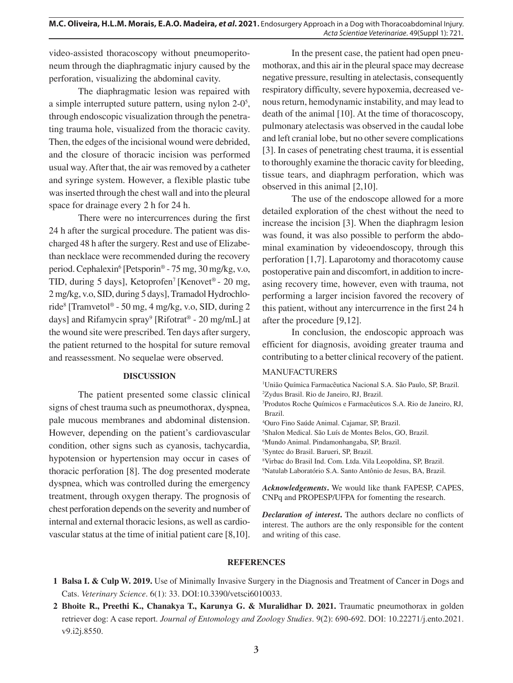video-assisted thoracoscopy without pneumoperitoneum through the diaphragmatic injury caused by the perforation, visualizing the abdominal cavity.

The diaphragmatic lesion was repaired with a simple interrupted suture pattern, using nylon 2-0<sup>5</sup>, through endoscopic visualization through the penetrating trauma hole, visualized from the thoracic cavity. Then, the edges of the incisional wound were debrided, and the closure of thoracic incision was performed usual way. After that, the air was removed by a catheter and syringe system. However, a flexible plastic tube was inserted through the chest wall and into the pleural space for drainage every 2 h for 24 h.

There were no intercurrences during the first 24 h after the surgical procedure. The patient was discharged 48 h after the surgery. Rest and use of Elizabethan necklace were recommended during the recovery period. Cephalexin<sup>6</sup> [Petsporin® - 75 mg, 30 mg/kg, v.o, TID, during 5 days], Ketoprofen<sup>7</sup> [Kenovet<sup>®</sup> - 20 mg, 2 mg/kg, v.o, SID, during 5 days], Tramadol Hydrochloride<sup>8</sup> [Tramvetol® - 50 mg, 4 mg/kg, v.o, SID, during 2 days] and Rifamycin spray<sup>9</sup> [Rifotrat<sup>®</sup> - 20 mg/mL] at the wound site were prescribed. Ten days after surgery, the patient returned to the hospital for suture removal and reassessment. No sequelae were observed.

#### **DISCUSSION**

The patient presented some classic clinical signs of chest trauma such as pneumothorax, dyspnea, pale mucous membranes and abdominal distension. However, depending on the patient's cardiovascular condition, other signs such as cyanosis, tachycardia, hypotension or hypertension may occur in cases of thoracic perforation [8]. The dog presented moderate dyspnea, which was controlled during the emergency treatment, through oxygen therapy. The prognosis of chest perforation depends on the severity and number of internal and external thoracic lesions, as well as cardiovascular status at the time of initial patient care [8,10].

In the present case, the patient had open pneumothorax, and this air in the pleural space may decrease negative pressure, resulting in atelectasis, consequently respiratory difficulty, severe hypoxemia, decreased venous return, hemodynamic instability, and may lead to death of the animal [10]. At the time of thoracoscopy, pulmonary atelectasis was observed in the caudal lobe and left cranial lobe, but no other severe complications [3]. In cases of penetrating chest trauma, it is essential to thoroughly examine the thoracic cavity for bleeding, tissue tears, and diaphragm perforation, which was observed in this animal [2,10].

The use of the endoscope allowed for a more detailed exploration of the chest without the need to increase the incision [3]. When the diaphragm lesion was found, it was also possible to perform the abdominal examination by videoendoscopy, through this perforation [1,7]. Laparotomy and thoracotomy cause postoperative pain and discomfort, in addition to increasing recovery time, however, even with trauma, not performing a larger incision favored the recovery of this patient, without any intercurrence in the first 24 h after the procedure [9,12].

In conclusion, the endoscopic approach was efficient for diagnosis, avoiding greater trauma and contributing to a better clinical recovery of the patient.

### MANUFACTURERS

1 União Química Farmacêutica Nacional S.A. São Paulo, SP, Brazil. 2 Zydus Brasil. Rio de Janeiro, RJ, Brazil.

3 Produtos Roche Químicos e Farmacêuticos S.A. Rio de Janeiro, RJ, Brazil.

4 Ouro Fino Saúde Animal. Cajamar, SP, Brazil.

5 Shalon Medical. São Luís de Montes Belos, GO, Brazil.

6 Mundo Animal. Pindamonhangaba, SP, Brazil.

7 Syntec do Brasil. Barueri, SP, Brazil.

8 Virbac do Brasil Ind. Com. Ltda. Vila Leopoldina, SP, Brazil. 9 Natulab Laboratório S.A. Santo Antônio de Jesus, BA, Brazil.

*Acknowledgements***.** We would like thank FAPESP, CAPES, CNPq and PROPESP/UFPA for fomenting the research.

*Declaration of interest***.** The authors declare no conflicts of interest. The authors are the only responsible for the content and writing of this case.

#### **REFERENCES**

- **1 Balsa I. & Culp W. 2019.** Use of Minimally Invasive Surgery in the Diagnosis and Treatment of Cancer in Dogs and Cats. *Veterinary Science*. 6(1): 33. DOI:10.3390/vetsci6010033.
- **2 Bhoite R., Preethi K., Chanakya T., Karunya G. & Muralidhar D. 2021.** Traumatic pneumothorax in golden retriever dog: A case report. *Journal of Entomology and Zoology Studies*. 9(2): 690-692. DOI: 10.22271/j.ento.2021. v9.i2j.8550.